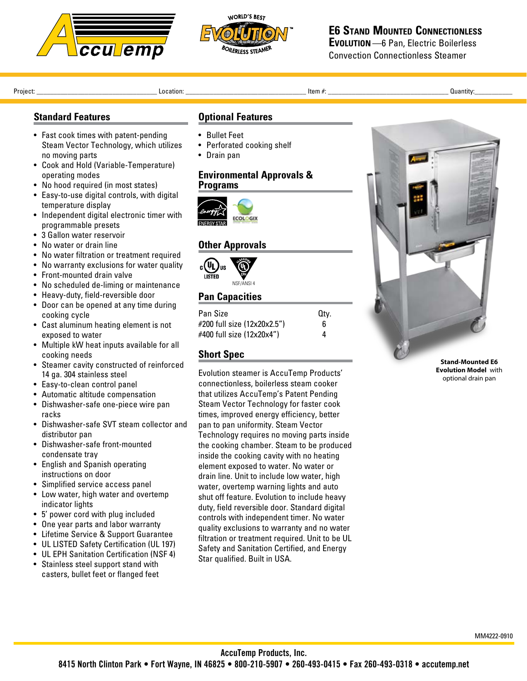



# **E6 Stand Mounted Connectionless**

**Evolution**—6 Pan, Electric Boilerless Convection Connectionless Steamer

Project: \_\_\_\_\_\_\_\_\_\_\_\_\_\_\_\_\_\_\_\_\_\_\_\_\_\_\_\_\_\_\_\_\_\_\_ Location: \_\_\_\_\_\_\_\_\_\_\_\_\_\_\_\_\_\_\_\_\_\_\_\_\_\_\_\_\_\_\_\_\_\_\_ Item #: \_\_\_\_\_\_\_\_\_\_\_\_\_\_\_\_\_\_\_\_\_\_\_\_\_\_\_\_\_\_\_\_\_\_\_ Quantity:\_\_\_\_\_\_\_\_\_\_\_ 

### **Standard Features**

- Fast cook times with patent-pending Steam Vector Technology, which utilizes no moving parts
- Cook and Hold (Variable-Temperature) operating modes
- No hood required (in most states)
- Easy-to-use digital controls, with digital temperature display
- Independent digital electronic timer with programmable presets
- 3 Gallon water reservoir
- No water or drain line
- • No water filtration or treatment required
- No warranty exclusions for water quality
- Front-mounted drain valve
- No scheduled de-liming or maintenance
- Heavy-duty, field-reversible door
- Door can be opened at any time during cooking cycle
- • Cast aluminum heating element is not exposed to water
- Multiple kW heat inputs available for all cooking needs
- • Steamer cavity constructed of reinforced 14 ga. 304 stainless steel
- Easy-to-clean control panel
- • Automatic altitude compensation
- • Dishwasher-safe one-piece wire pan racks
- Dishwasher-safe SVT steam collector and distributor pan
- • Dishwasher-safe front-mounted condensate tray
- English and Spanish operating instructions on door
- • Simplified service access panel
- Low water, high water and overtemp indicator lights
- • 5' power cord with plug included
- One year parts and labor warranty
- • Lifetime Service & Support Guarantee
- UL LISTED Safety Certification (UL 197)
- UL EPH Sanitation Certification (NSF 4)
- Stainless steel support stand with casters, bullet feet or flanged feet

#### **Optional Features**

- • Bullet Feet
- Perforated cooking shelf
- • Drain pan

#### **Environmental Approvals & Programs**



#### **Other Approvals**



#### **Pan Capacities**

| Pan Size                    | Qtv. |
|-----------------------------|------|
| #200 full size (12x20x2.5") | հ    |
| #400 full size (12x20x4")   | 4    |

## **Short Spec**

Evolution steamer is AccuTemp Products' connectionless, boilerless steam cooker that utilizes AccuTemp's Patent Pending Steam Vector Technology for faster cook times, improved energy efficiency, better pan to pan uniformity. Steam Vector Technology requires no moving parts inside the cooking chamber. Steam to be produced inside the cooking cavity with no heating element exposed to water. No water or drain line. Unit to include low water, high water, overtemp warning lights and auto shut off feature. Evolution to include heavy duty, field reversible door. Standard digital controls with independent timer. No water quality exclusions to warranty and no water filtration or treatment required. Unit to be UL Safety and Sanitation Certified, and Energy Star qualified. Built in USA.



**Evolution Model** with optional drain pan